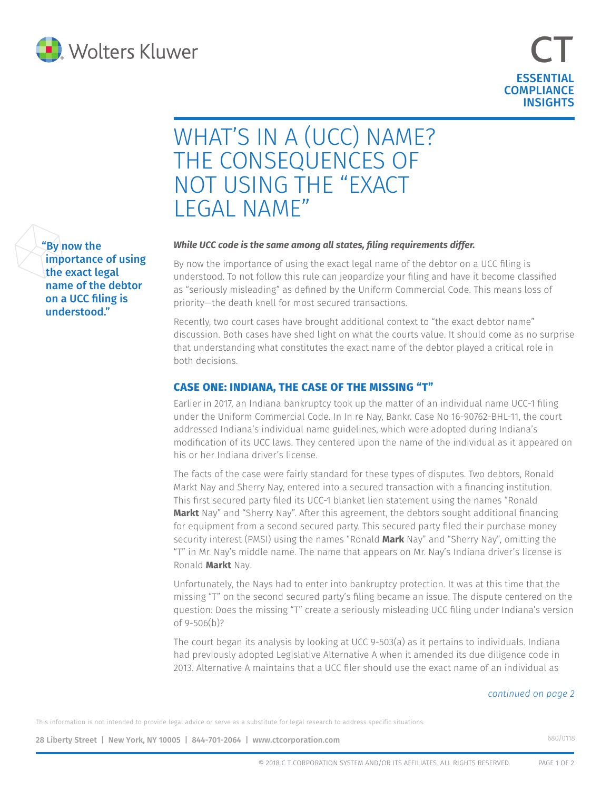



# WHAT'S IN A (UCC) NAME? THE CONSEQUENCES OF NOT USING THE "EXACT LEGAL NAME"

#### *While UCC code is the same among all states, filing requirements differ.*

By now the importance of using the exact legal name of the debtor on a UCC filing is understood. To not follow this rule can jeopardize your filing and have it become classified as "seriously misleading" as defined by the Uniform Commercial Code. This means loss of priority—the death knell for most secured transactions.

Recently, two court cases have brought additional context to "the exact debtor name" discussion. Both cases have shed light on what the courts value. It should come as no surprise that understanding what constitutes the exact name of the debtor played a critical role in both decisions.

## **CASE ONE: INDIANA, THE CASE OF THE MISSING "T"**

Earlier in 2017, an Indiana bankruptcy took up the matter of an individual name UCC-1 filing under the Uniform Commercial Code. In In re Nay, Bankr. Case No 16-90762-BHL-11, the court addressed Indiana's individual name guidelines, which were adopted during Indiana's modification of its UCC laws. They centered upon the name of the individual as it appeared on his or her Indiana driver's license.

The facts of the case were fairly standard for these types of disputes. Two debtors, Ronald Markt Nay and Sherry Nay, entered into a secured transaction with a financing institution. This first secured party filed its UCC-1 blanket lien statement using the names "Ronald **Markt** Nay" and "Sherry Nay". After this agreement, the debtors sought additional financing for equipment from a second secured party. This secured party filed their purchase money security interest (PMSI) using the names "Ronald **Mark** Nay" and "Sherry Nay", omitting the "T" in Mr. Nay's middle name. The name that appears on Mr. Nay's Indiana driver's license is Ronald **Markt** Nay.

Unfortunately, the Nays had to enter into bankruptcy protection. It was at this time that the missing "T" on the second secured party's filing became an issue. The dispute centered on the question: Does the missing "T" create a seriously misleading UCC filing under Indiana's version of 9-506(b)?

The court began its analysis by looking at UCC 9-503(a) as it pertains to individuals. Indiana had previously adopted Legislative Alternative A when it amended its due diligence code in 2013. Alternative A maintains that a UCC filer should use the exact name of an individual as

#### *continued on page 2*

This information is not intended to provide legal advice or serve as a substitute for legal research to address specific situations.

28 Liberty Street | New York, NY 10005 | 844-701-2064 | [www.ctcorporation.com](https://ct.wolterskluwer.com/ucc-services) 680/0118

"By now the importance of using the exact legal name of the debtor on a UCC filing is understood."